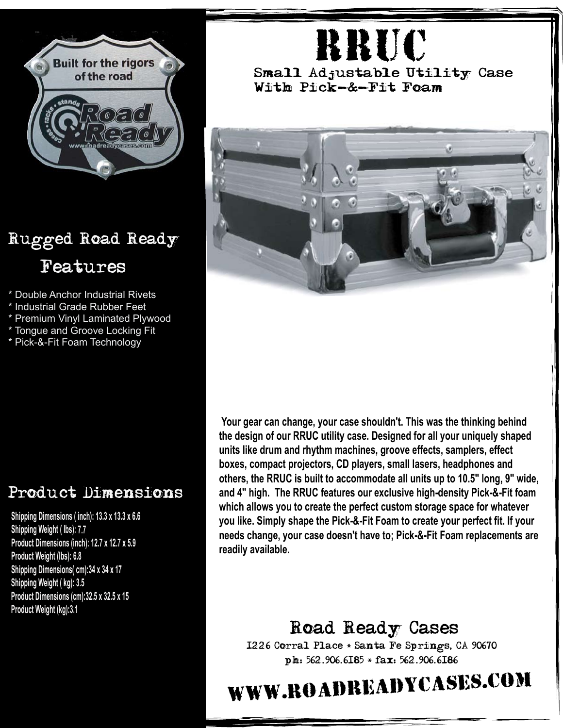

## Rugged Road Ready Features

- \* Double Anchor Industrial Rivets
- \* Industrial Grade Rubber Feet
- \* Premium Vinyl Laminated Plywood
- \* Tongue and Groove Locking Fit
- \* Pick-&-Fit Foam Technology

## Product Dimensions

**Shipping Dimensions ( inch): 13.3 <sup>x</sup> 13.3 <sup>x</sup> 6.6 Shipping Weight ( lbs): 7.7 Product Dimensions (inch): 12.7 <sup>x</sup> 12.7 <sup>x</sup> 5.9 Product Weight (lbs): 6.8 Shipping Dimensions( cm):34 <sup>x</sup> 34 <sup>x</sup> 17 Shipping Weight ( kg): 3.5 Product Dimensions (cm):32.5 <sup>x</sup> 32.5 <sup>x</sup> 15 Product Weight (kg):3.1**

## RRuc

Small Adjustable Utility Case With Pick-&-Fit Foam



**Your gear can change, your case shouldn't. This was the thinking behind the design of our RRUC utility case. Designed for all your uniquely shaped units like drum and rhythm machines, groove effects, samplers, effect boxes, compact projectors, CD players, small lasers, headphones and others, the RRUC is built to accommodate all units up to 10.5" long, 9" wide, and 4" high. The RRUC features our exclusive high-density Pick-&-Fit foam which allows you to create the perfect custom storage space for whatever you like. Simply shape the Pick-&-Fit Foam to create your perfect fit. If your needs change, your case doesn't have to; Pick-&-Fit Foam replacements are readily available.**

Road Ready Cases 1226 Corral Place \* Santa Fe Springs, CA 90670 ph: 562.906.6185 \* fax: 562.906.6186

## www.roadreadycases.com